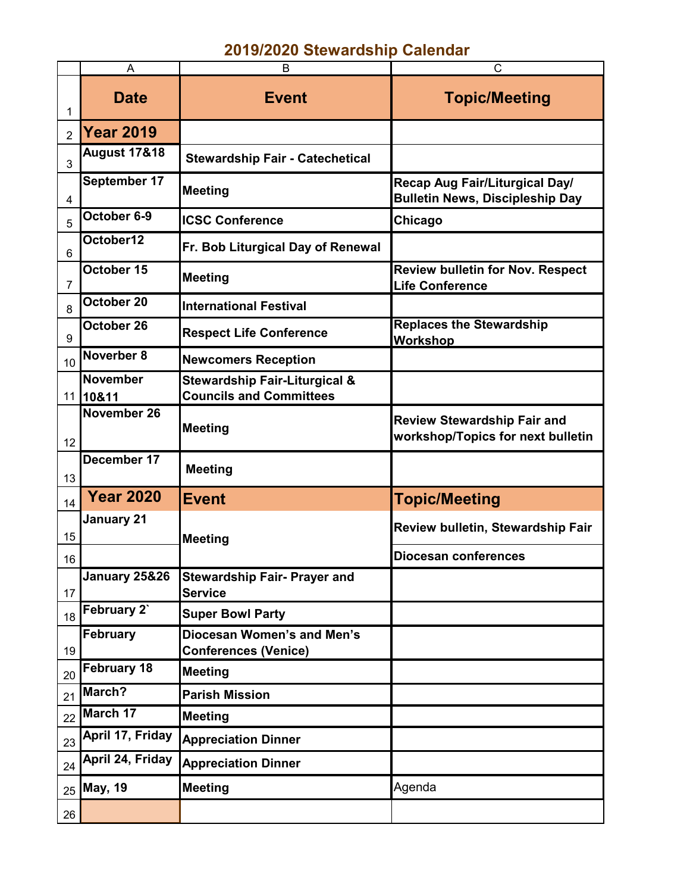## **2019/2020 Stewardship Calendar**

|                 | A                           | B                                                                          | C                                                                        |  |
|-----------------|-----------------------------|----------------------------------------------------------------------------|--------------------------------------------------------------------------|--|
| 1               | <b>Date</b>                 | <b>Event</b>                                                               | <b>Topic/Meeting</b>                                                     |  |
| $\overline{2}$  | <b>Year 2019</b>            |                                                                            |                                                                          |  |
| 3               | <b>August 17&amp;18</b>     | <b>Stewardship Fair - Catechetical</b>                                     |                                                                          |  |
| 4               | September 17                | <b>Meeting</b>                                                             | Recap Aug Fair/Liturgical Day/<br><b>Bulletin News, Discipleship Day</b> |  |
| 5               | October 6-9                 | <b>ICSC Conference</b>                                                     | Chicago                                                                  |  |
| 6               | October12                   | Fr. Bob Liturgical Day of Renewal                                          |                                                                          |  |
| $\overline{7}$  | October 15                  | <b>Meeting</b>                                                             | <b>Review bulletin for Nov. Respect</b><br><b>Life Conference</b>        |  |
| 8               | October 20                  | <b>International Festival</b>                                              |                                                                          |  |
| 9               | October 26                  | <b>Respect Life Conference</b>                                             | <b>Replaces the Stewardship</b><br>Workshop                              |  |
| 10              | Noverber 8                  | <b>Newcomers Reception</b>                                                 |                                                                          |  |
|                 | <b>November</b><br>11 10&11 | <b>Stewardship Fair-Liturgical &amp;</b><br><b>Councils and Committees</b> |                                                                          |  |
|                 | November 26                 |                                                                            | <b>Review Stewardship Fair and</b>                                       |  |
| 12 <sub>2</sub> |                             | <b>Meeting</b>                                                             | workshop/Topics for next bulletin                                        |  |
| 13              | December 17                 | <b>Meeting</b>                                                             |                                                                          |  |
| 14              | <b>Year 2020</b>            | <b>Event</b>                                                               | <b>Topic/Meeting</b>                                                     |  |
| 15              | <b>January 21</b>           | <b>Meeting</b>                                                             | <b>Review bulletin, Stewardship Fair</b>                                 |  |
| 16              |                             |                                                                            | <b>Diocesan conferences</b>                                              |  |
| 17              | January 25&26               | <b>Stewardship Fair- Prayer and</b><br><b>Service</b>                      |                                                                          |  |
| 18              | February 2`                 | <b>Super Bowl Party</b>                                                    |                                                                          |  |
| 19              | <b>February</b>             | Diocesan Women's and Men's<br><b>Conferences (Venice)</b>                  |                                                                          |  |
| 20              | February 18                 | <b>Meeting</b>                                                             |                                                                          |  |
| 21              | March?                      | <b>Parish Mission</b>                                                      |                                                                          |  |
| 22              | March 17                    | Meeting                                                                    |                                                                          |  |
| 23              | April 17, Friday            | <b>Appreciation Dinner</b>                                                 |                                                                          |  |
| 24              | April 24, Friday            | <b>Appreciation Dinner</b>                                                 |                                                                          |  |
| 25              | <b>May, 19</b>              | <b>Meeting</b>                                                             | Agenda                                                                   |  |
| 26              |                             |                                                                            |                                                                          |  |